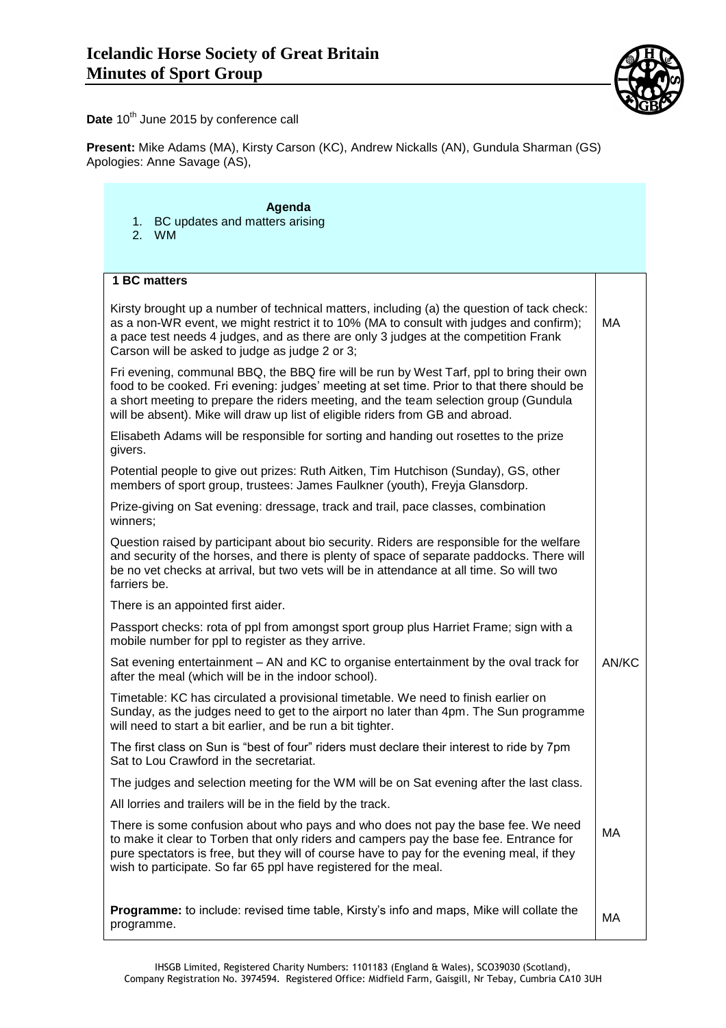

Date 10<sup>th</sup> June 2015 by conference call

**Present:** Mike Adams (MA), Kirsty Carson (KC), Andrew Nickalls (AN), Gundula Sharman (GS) Apologies: Anne Savage (AS),

## **Agenda** 1. BC updates and matters arising 2. WM **1 BC matters** Kirsty brought up a number of technical matters, including (a) the question of tack check: as a non-WR event, we might restrict it to 10% (MA to consult with judges and confirm); a pace test needs 4 judges, and as there are only 3 judges at the competition Frank Carson will be asked to judge as judge 2 or 3; Fri evening, communal BBQ, the BBQ fire will be run by West Tarf, ppl to bring their own food to be cooked. Fri evening: judges' meeting at set time. Prior to that there should be a short meeting to prepare the riders meeting, and the team selection group (Gundula will be absent). Mike will draw up list of eligible riders from GB and abroad. Elisabeth Adams will be responsible for sorting and handing out rosettes to the prize givers. Potential people to give out prizes: Ruth Aitken, Tim Hutchison (Sunday), GS, other members of sport group, trustees: James Faulkner (youth), Freyja Glansdorp. Prize-giving on Sat evening: dressage, track and trail, pace classes, combination winners; Question raised by participant about bio security. Riders are responsible for the welfare and security of the horses, and there is plenty of space of separate paddocks. There will be no vet checks at arrival, but two vets will be in attendance at all time. So will two farriers be. There is an appointed first aider. Passport checks: rota of ppl from amongst sport group plus Harriet Frame; sign with a mobile number for ppl to register as they arrive. Sat evening entertainment – AN and KC to organise entertainment by the oval track for after the meal (which will be in the indoor school). Timetable: KC has circulated a provisional timetable. We need to finish earlier on Sunday, as the judges need to get to the airport no later than 4pm. The Sun programme will need to start a bit earlier, and be run a bit tighter. The first class on Sun is "best of four" riders must declare their interest to ride by 7pm Sat to Lou Crawford in the secretariat. The judges and selection meeting for the WM will be on Sat evening after the last class. All lorries and trailers will be in the field by the track. There is some confusion about who pays and who does not pay the base fee. We need to make it clear to Torben that only riders and campers pay the base fee. Entrance for pure spectators is free, but they will of course have to pay for the evening meal, if they wish to participate. So far 65 ppl have registered for the meal. **Programme:** to include: revised time table, Kirsty's info and maps, Mike will collate the programme. MA AN/KC MA MA